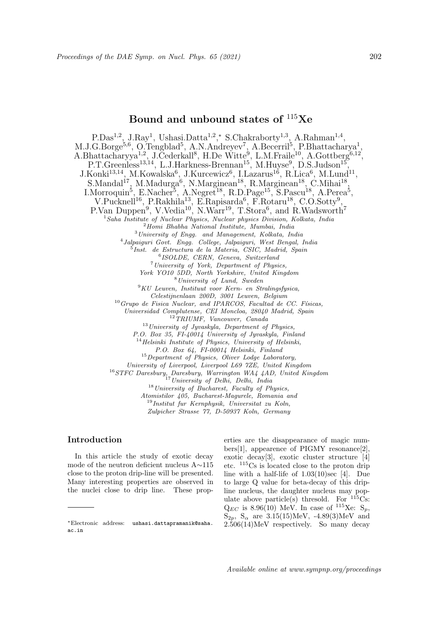# Bound and unbound states of  $115Xe$

P.Das<sup>1,2</sup>, J.Ray<sup>1</sup>, Ushasi.Datta<sup>1,2</sup>,\* S.Chakraborty<sup>1,3</sup>, A.Rahman<sup>1,4</sup>, M.J.G.Borge<sup>5,6</sup>, O.Tengblad<sup>5</sup>, A.N.Andreyev<sup>7</sup>, A.Becerril<sup>5</sup>, P.Bhattacharya<sup>1</sup>, A.Bhattacharyya<sup>1,2</sup>, J.Cederkall<sup>8</sup>, H.De Witte<sup>9</sup>, L.M.Fraile<sup>10</sup>, A.Gottberg<sup>6,12</sup>, P.T.Greenless<sup>13,14</sup>, L.J.Harkness-Brennan<sup>15</sup>, M.Huyse<sup>9</sup>, D.S.Judson<sup>15</sup>,  $J.Konki<sup>13,14</sup>, M.Kowalska<sup>6</sup>, J.Kurcewicz<sup>6</sup>, I.Lazarus<sup>16</sup>, R.Lica<sup>6</sup>, M.Lund<sup>11</sup>,$ S.Mandal<sup>17</sup>, M.Madurga<sup>6</sup>, N.Marginean<sup>18</sup>, R.Marginean<sup>18</sup>, C.Mihai<sup>18</sup>, I.Morroquin<sup>5</sup>, E.Nacher<sup>5</sup>, A.Negret<sup>18</sup>, R.D.Page<sup>15</sup>, S.Pascu<sup>18</sup>, A.Perea<sup>5</sup>, V.Pucknell<sup>16</sup>, P.Rakhila<sup>13</sup>, E.Rapisarda<sup>6</sup>, F.Rotaru<sup>18</sup>, C.O.Sotty<sup>9</sup>, P.Van Duppen<sup>9</sup>, V.Vedia<sup>10</sup>, N.Warr<sup>19</sup>, T.Stora<sup>6</sup>, and R.Wadsworth<sup>7</sup> <sup>1</sup> Saha Institute of Nuclear Physics, Nuclear physics Division, Kolkata, India  $2$ Homi Bhabha National Institute, Mumbai, India <sup>3</sup>University of Engg. and Management, Kolkata, India 4 Jalpaiguri Govt. Engg. College, Jalpaiguri, West Bengal, India 5 Inst. de Estructura de la Materia, CSIC, Madrid, Spain 6 ISOLDE, CERN, Geneva, Switzerland <sup>7</sup>University of York, Department of Physics, York YO10 5DD, North Yorkshire, United Kingdom <sup>8</sup>University of Lund, Sweden  $9KU$  Leuven, Instituut voor Kern- en Stralingsfysica, Celestijnenlaan 200D, 3001 Leuven, Belgium  $10$  Grupo de Fisica Nuclear, and IPARCOS, Facultad de CC. Físicas, Universidad Complutense, CEI Moncloa, 28040 Madrid, Spain <sup>12</sup>TRIUMF, Vancouver, Canada  $13$ University of Jyvaskyla, Department of Physics, P.O. Box 35, FI-40014 University of Jyvaskyla, Finland  $14$ Helsinki Institute of Physics, University of Helsinki, P.O. Box 64, FI-00014 Helsinki, Finland  $15$  Department of Physics, Oliver Lodge Laboratory, University of Liverpool, Liverpool L69 7ZE, United Kingdom <sup>16</sup>STFC Daresbury, Daresbury, Warrington WA4 4AD, United Kingdom <sup>17</sup> University of Delhi, Delhi, India  $18$  University of Bucharest, Faculty of Physics, Atomistilor 405, Bucharest-Magurele, Romania and <sup>19</sup>Institut fur Kernphysik, Universitat zu Koln,

Zulpicher Strasse 77, D-50937 Koln, Germany

## Introduction

In this article the study of exotic decay mode of the neutron deficient nucleus A∼115 close to the proton drip-line will be presented. Many interesting properties are observed in the nuclei close to drip line. These properties are the disappearance of magic numbers[1], appearence of PIGMY resonance[2], exotic decay[3], exotic cluster structure [4] etc. <sup>115</sup>Cs is located close to the proton drip line with a half-life of 1.03(10)sec [4]. Due to large Q value for beta-decay of this dripline nucleus, the daughter nucleus may populate above particle(s) thresold. For  $115Cs$ :  $Q_{EC}$  is 8.96(10) MeV. In case of  $^{115}$ Xe: S<sub>p</sub>,  $S_{2p}$ ,  $S_{\alpha}$  are 3.15(15)MeV, -4.89(3)MeV and 2.506(14)MeV respectively. So many decay

<sup>∗</sup>Electronic address: ushasi.dattapramanik@saha. ac.in